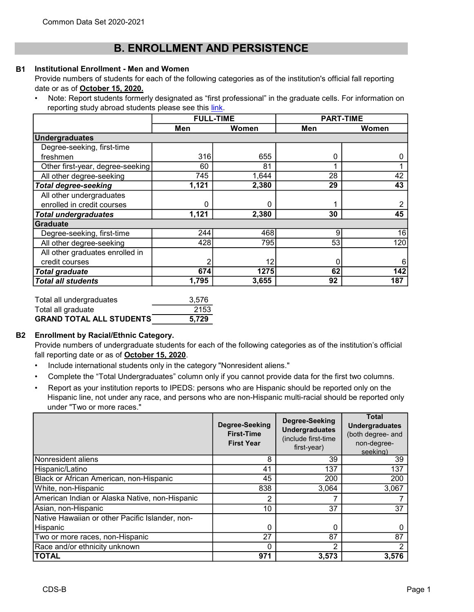# B. ENROLLMENT AND PERSISTENCE

#### B1 Institutional Enrollment - Men and Women

Provide numbers of students for each of the following categories as of the institution's official fall reporting date or as of October 15, 2020.

• Note: Report students formerly designated as "first professional" in the graduate cells. For information on reporting study abroad students please see this link.

|                                  | <b>FULL-TIME</b> |       | <b>PART-TIME</b> |       |
|----------------------------------|------------------|-------|------------------|-------|
|                                  | Men              | Women | Men              | Women |
| <b>Undergraduates</b>            |                  |       |                  |       |
| Degree-seeking, first-time       |                  |       |                  |       |
| freshmen                         | 316              | 655   | 0                | 0     |
| Other first-year, degree-seeking | 60               | 81    |                  |       |
| All other degree-seeking         | 745              | 1,644 | 28               | 42    |
| <b>Total degree-seeking</b>      | 1,121            | 2,380 | 29               | 43    |
| All other undergraduates         |                  |       |                  |       |
| enrolled in credit courses       | 0                | 0     |                  | 2     |
| <b>Total undergraduates</b>      | 1,121            | 2,380 | 30               | 45    |
| <b>Graduate</b>                  |                  |       |                  |       |
| Degree-seeking, first-time       | 244              | 468   | 9                | 16    |
| All other degree-seeking         | 428              | 795   | 53               | 120   |
| All other graduates enrolled in  |                  |       |                  |       |
| credit courses                   | 2                | 12    | 0                |       |
| <b>Total graduate</b>            | 674              | 1275  | 62               | 142   |
| <b>Total all students</b>        | 1,795            | 3,655 | 92               | 187   |

| Total all undergraduates        | 3.576 |
|---------------------------------|-------|
| Total all graduate              | 2153  |
| <b>GRAND TOTAL ALL STUDENTS</b> | 5.729 |

# B2 Enrollment by Racial/Ethnic Category.

Provide numbers of undergraduate students for each of the following categories as of the institution's official fall reporting date or as of October 15, 2020.

- Include international students only in the category "Nonresident aliens."
- Complete the "Total Undergraduates" column only if you cannot provide data for the first two columns.
- Report as your institution reports to IPEDS: persons who are Hispanic should be reported only on the Hispanic line, not under any race, and persons who are non-Hispanic multi-racial should be reported only under "Two or more races."

|                                                 | Degree-Seeking<br><b>First-Time</b><br><b>First Year</b> | Degree-Seeking<br><b>Undergraduates</b><br>(include first-time<br>first-year) | <b>Total</b><br><b>Undergraduates</b><br>(both degree- and<br>non-degree-<br>seeking) |
|-------------------------------------------------|----------------------------------------------------------|-------------------------------------------------------------------------------|---------------------------------------------------------------------------------------|
| Nonresident aliens                              | 8                                                        | 39                                                                            | 39                                                                                    |
| Hispanic/Latino                                 | 41                                                       | 137                                                                           | 137                                                                                   |
| Black or African American, non-Hispanic         | 45                                                       | 200                                                                           | 200                                                                                   |
| White, non-Hispanic                             | 838                                                      | 3,064                                                                         | 3,067                                                                                 |
| American Indian or Alaska Native, non-Hispanic  | 2                                                        | 7                                                                             |                                                                                       |
| Asian, non-Hispanic                             | 10                                                       | 37                                                                            | 37                                                                                    |
| Native Hawaiian or other Pacific Islander, non- |                                                          |                                                                               |                                                                                       |
| Hispanic                                        | 0                                                        | 0                                                                             |                                                                                       |
| Two or more races, non-Hispanic                 | 27                                                       | 87                                                                            | 87                                                                                    |
| Race and/or ethnicity unknown                   |                                                          | 2                                                                             | っ                                                                                     |
| TOTAL                                           | 971                                                      | 3,573                                                                         | 3,576                                                                                 |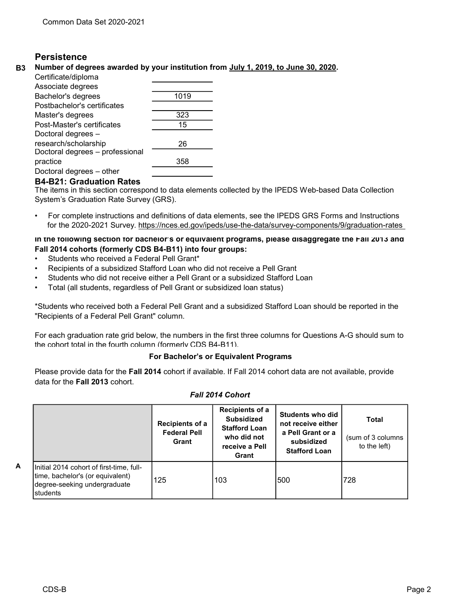# **Persistence**

### B3 Number of degrees awarded by your institution from July 1, 2019, to June 30, 2020.

| Certificate/diploma             |      |
|---------------------------------|------|
| Associate degrees               |      |
| Bachelor's degrees              | 1019 |
| Postbachelor's certificates     |      |
| Master's degrees                | 323  |
| Post-Master's certificates      | 15   |
| Doctoral degrees -              |      |
| research/scholarship            | 26   |
| Doctoral degrees - professional |      |
| practice                        | 358  |
| Doctoral degrees - other        |      |

# B4-B21: Graduation Rates

The items in this section correspond to data elements collected by the IPEDS Web-based Data Collection System's Graduation Rate Survey (GRS).

• For complete instructions and definitions of data elements, see the IPEDS GRS Forms and Instructions for the 2020-2021 Survey. https://nces.ed.gov/ipeds/use-the-data/survey-components/9/graduation-rates

In the following section for bachelor's or equivalent programs, please disaggregate the Fall 2013 and Fall 2014 cohorts (formerly CDS B4-B11) into four groups:

- Students who received a Federal Pell Grant\*
- Recipients of a subsidized Stafford Loan who did not receive a Pell Grant
- Students who did not receive either a Pell Grant or a subsidized Stafford Loan
- Total (all students, regardless of Pell Grant or subsidized loan status)

\*Students who received both a Federal Pell Grant and a subsidized Stafford Loan should be reported in the "Recipients of a Federal Pell Grant" column.

For each graduation rate grid below, the numbers in the first three columns for Questions A-G should sum to the cohort total in the fourth column (formerly CDS B4-B11).

#### For Bachelor's or Equivalent Programs

Please provide data for the Fall 2014 cohort if available. If Fall 2014 cohort data are not available, provide data for the Fall 2013 cohort.

|   |                                                                                                                           | Recipients of a<br><b>Federal Pell</b><br>Grant | Recipients of a<br><b>Subsidized</b><br><b>Stafford Loan</b><br>who did not<br>receive a Pell<br>Grant | Students who did<br>not receive either<br>a Pell Grant or a<br>subsidized<br><b>Stafford Loan</b> | <b>Total</b><br>(sum of 3 columns)<br>to the left) |
|---|---------------------------------------------------------------------------------------------------------------------------|-------------------------------------------------|--------------------------------------------------------------------------------------------------------|---------------------------------------------------------------------------------------------------|----------------------------------------------------|
| А | Initial 2014 cohort of first-time, full-<br>time, bachelor's (or equivalent)<br>degree-seeking undergraduate<br>Istudents | 125                                             | 103                                                                                                    | 1500                                                                                              | 728                                                |

# Fall 2014 Cohort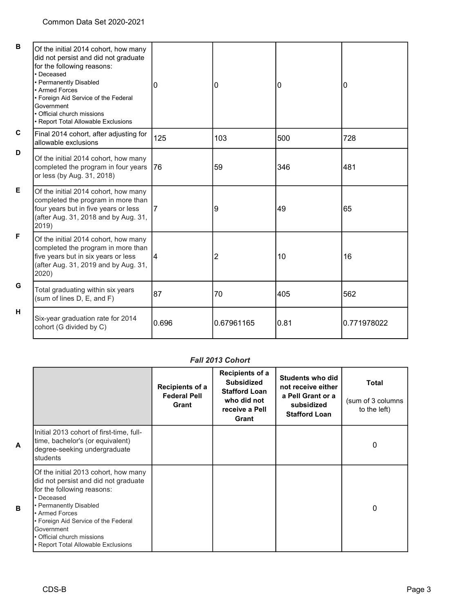| B | Of the initial 2014 cohort, how many<br>did not persist and did not graduate<br>for the following reasons:<br>• Deceased<br>• Permanently Disabled<br>• Armed Forces<br>• Foreign Aid Service of the Federal<br>Government<br>• Official church missions<br>• Report Total Allowable Exclusions | 0     | 0          | 0    | 0           |
|---|-------------------------------------------------------------------------------------------------------------------------------------------------------------------------------------------------------------------------------------------------------------------------------------------------|-------|------------|------|-------------|
| C | Final 2014 cohort, after adjusting for<br>allowable exclusions                                                                                                                                                                                                                                  | 125   | 103        | 500  | 728         |
| D | Of the initial 2014 cohort, how many<br>completed the program in four years 76<br>or less (by Aug. 31, 2018)                                                                                                                                                                                    |       | 59         | 346  | 481         |
| Е | Of the initial 2014 cohort, how many<br>completed the program in more than<br>four years but in five years or less<br>(after Aug. 31, 2018 and by Aug. 31,<br>2019)                                                                                                                             | 17    | 9          | 49   | 65          |
| F | Of the initial 2014 cohort, how many<br>completed the program in more than<br>five years but in six years or less<br>(after Aug. 31, 2019 and by Aug. 31,<br>2020)                                                                                                                              | 14    | 2          | 10   | 16          |
| G | Total graduating within six years<br>(sum of lines D, E, and F)                                                                                                                                                                                                                                 | 87    | 70         | 405  | 562         |
| н | Six-year graduation rate for 2014<br>cohort (G divided by C)                                                                                                                                                                                                                                    | 0.696 | 0.67961165 | 0.81 | 0.771978022 |

#### Fall 2013 Cohort

|                                                                                                                                                                                                                                                                                                 | Recipients of a<br><b>Federal Pell</b><br>Grant | Recipients of a<br><b>Subsidized</b><br><b>Stafford Loan</b><br>who did not<br>receive a Pell<br>Grant | <b>Students who did</b><br>not receive either<br>a Pell Grant or a<br>subsidized<br><b>Stafford Loan</b> | <b>Total</b><br>(sum of 3 columns<br>to the left) |
|-------------------------------------------------------------------------------------------------------------------------------------------------------------------------------------------------------------------------------------------------------------------------------------------------|-------------------------------------------------|--------------------------------------------------------------------------------------------------------|----------------------------------------------------------------------------------------------------------|---------------------------------------------------|
| Initial 2013 cohort of first-time, full-<br>time, bachelor's (or equivalent)<br>degree-seeking undergraduate<br>students                                                                                                                                                                        |                                                 |                                                                                                        |                                                                                                          | 0                                                 |
| Of the initial 2013 cohort, how many<br>did not persist and did not graduate<br>for the following reasons:<br>• Deceased<br>• Permanently Disabled<br>• Armed Forces<br>• Foreign Aid Service of the Federal<br>Government<br>• Official church missions<br>• Report Total Allowable Exclusions |                                                 |                                                                                                        |                                                                                                          | 0                                                 |

A

B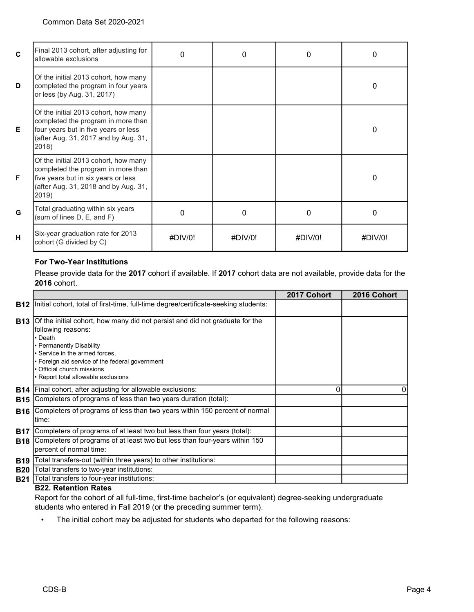| $\mathbf{C}$ | Final 2013 cohort, after adjusting for<br>allowable exclusions                                                                                                      | <sup>0</sup> | 0           | 0           | 0           |
|--------------|---------------------------------------------------------------------------------------------------------------------------------------------------------------------|--------------|-------------|-------------|-------------|
| D            | Of the initial 2013 cohort, how many<br>completed the program in four years<br>or less (by Aug. 31, 2017)                                                           |              |             |             | 0           |
| E.           | Of the initial 2013 cohort, how many<br>completed the program in more than<br>four years but in five years or less<br>(after Aug. 31, 2017 and by Aug. 31,<br>2018) |              |             |             | 0           |
| F            | Of the initial 2013 cohort, how many<br>completed the program in more than<br>five years but in six years or less<br>(after Aug. 31, 2018 and by Aug. 31,<br>2019)  |              |             |             | $\Omega$    |
| G            | Total graduating within six years<br>(sum of lines D, E, and F)                                                                                                     | $\Omega$     | $\Omega$    | 0           | $\Omega$    |
| н            | Six-year graduation rate for 2013<br>cohort (G divided by C)                                                                                                        | $\#$ DIV/0!  | $\#$ DIV/0! | $\#$ DIV/0! | $\#$ DIV/0! |

# For Two-Year Institutions

Please provide data for the 2017 cohort if available. If 2017 cohort data are not available, provide data for the 2016 cohort.

|            |                                                                                                                                                                                                                                                                                                 | 2017 Cohort | 2016 Cohort |
|------------|-------------------------------------------------------------------------------------------------------------------------------------------------------------------------------------------------------------------------------------------------------------------------------------------------|-------------|-------------|
| <b>B12</b> | Initial cohort, total of first-time, full-time degree/certificate-seeking students:                                                                                                                                                                                                             |             |             |
| <b>B13</b> | Of the initial cohort, how many did not persist and did not graduate for the<br>following reasons:<br>• Death<br>• Permanently Disability<br>· Service in the armed forces,<br>• Foreign aid service of the federal government<br>Official church missions<br>Report total allowable exclusions |             |             |
| <b>B14</b> | Final cohort, after adjusting for allowable exclusions:                                                                                                                                                                                                                                         | 0           |             |
| <b>B15</b> | Completers of programs of less than two years duration (total):                                                                                                                                                                                                                                 |             |             |
| <b>B16</b> | Completers of programs of less than two years within 150 percent of normal<br>time:                                                                                                                                                                                                             |             |             |
| <b>B17</b> | Completers of programs of at least two but less than four years (total):                                                                                                                                                                                                                        |             |             |
| <b>B18</b> | Completers of programs of at least two but less than four-years within 150<br>percent of normal time:                                                                                                                                                                                           |             |             |
| <b>B19</b> | Total transfers-out (within three years) to other institutions:                                                                                                                                                                                                                                 |             |             |
| <b>B20</b> | Total transfers to two-year institutions:                                                                                                                                                                                                                                                       |             |             |
| <b>B21</b> | Total transfers to four-year institutions:<br>000 Dalamilan Dalam                                                                                                                                                                                                                               |             |             |

#### B22. Retention Rates

Report for the cohort of all full-time, first-time bachelor's (or equivalent) degree-seeking undergraduate students who entered in Fall 2019 (or the preceding summer term).

• The initial cohort may be adjusted for students who departed for the following reasons: